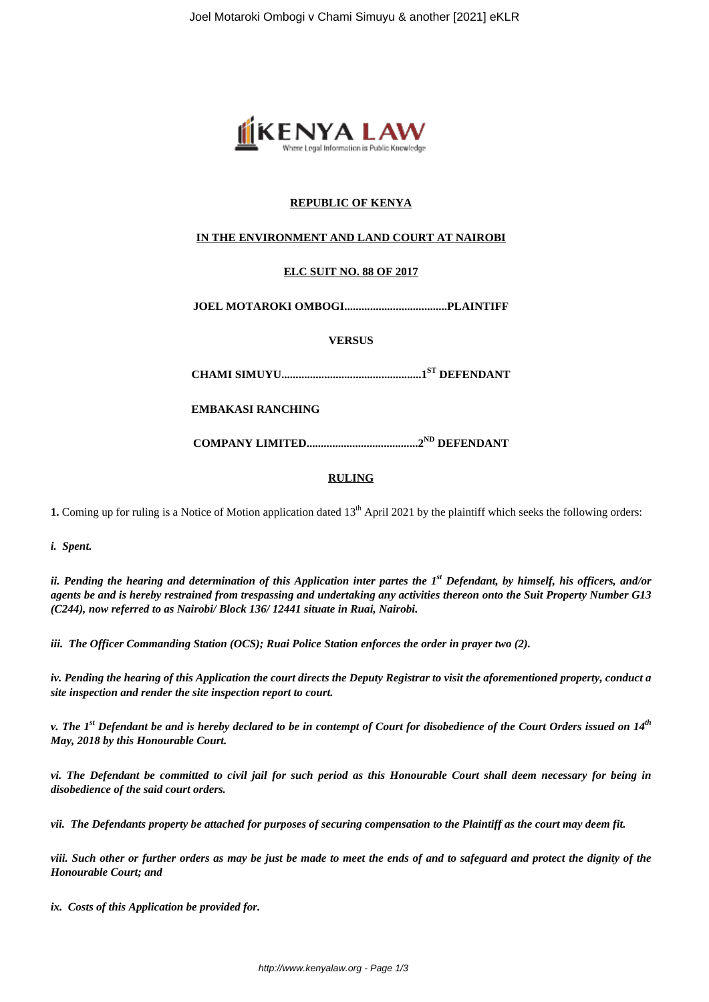

# **REPUBLIC OF KENYA**

# **IN THE ENVIRONMENT AND LAND COURT AT NAIROBI**

# **ELC SUIT NO. 88 OF 2017**

**JOEL MOTAROKI OMBOGI....................................PLAINTIFF**

**VERSUS**

**CHAMI SIMUYU.................................................1 ST DEFENDANT**

**EMBAKASI RANCHING**

**COMPANY LIMITED.......................................2 ND DEFENDANT**

## **RULING**

**1.** Coming up for ruling is a Notice of Motion application dated 13<sup>th</sup> April 2021 by the plaintiff which seeks the following orders:

*i. Spent.*

*ii. Pending the hearing and determination of this Application inter partes the 1st Defendant, by himself, his officers, and/or agents be and is hereby restrained from trespassing and undertaking any activities thereon onto the Suit Property Number G13 (C244), now referred to as Nairobi/ Block 136/ 12441 situate in Ruai, Nairobi.* 

*iii. The Officer Commanding Station (OCS); Ruai Police Station enforces the order in prayer two (2).*

*iv. Pending the hearing of this Application the court directs the Deputy Registrar to visit the aforementioned property, conduct a site inspection and render the site inspection report to court.*

*v. The 1st Defendant be and is hereby declared to be in contempt of Court for disobedience of the Court Orders issued on 14th May, 2018 by this Honourable Court.*

*vi. The Defendant be committed to civil jail for such period as this Honourable Court shall deem necessary for being in disobedience of the said court orders.*

*vii. The Defendants property be attached for purposes of securing compensation to the Plaintiff as the court may deem fit.*

*viii. Such other or further orders as may be just be made to meet the ends of and to safeguard and protect the dignity of the Honourable Court; and* 

*ix. Costs of this Application be provided for.*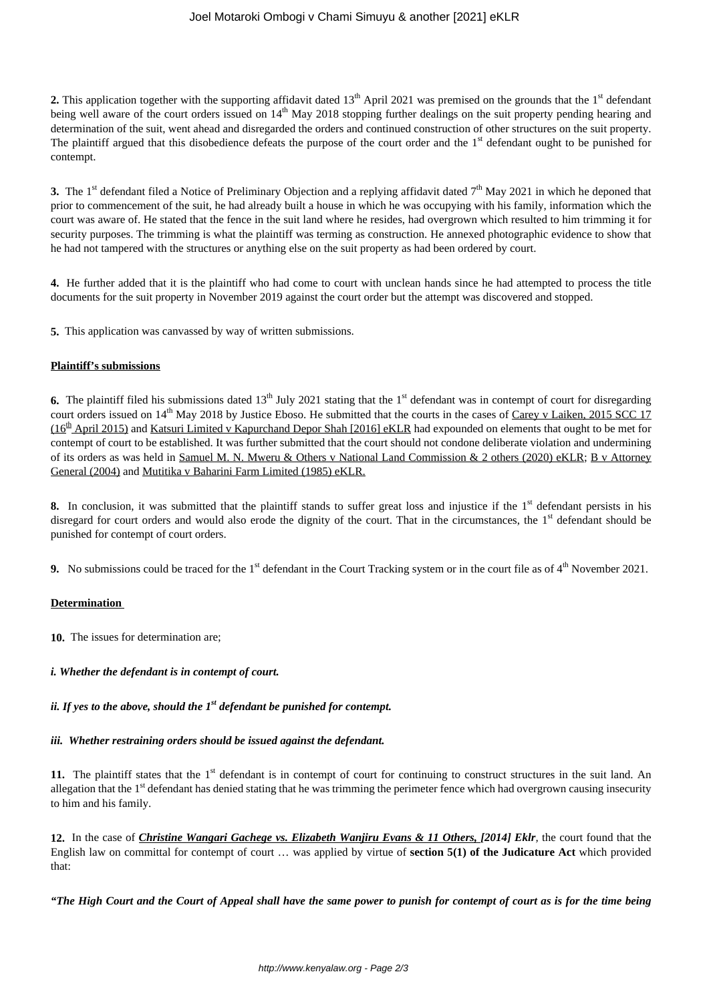# Joel Motaroki Ombogi v Chami Simuyu & another [2021] eKLR

**2.** This application together with the supporting affidavit dated 13<sup>th</sup> April 2021 was premised on the grounds that the 1<sup>st</sup> defendant being well aware of the court orders issued on 14<sup>th</sup> May 2018 stopping further dealings on the suit property pending hearing and determination of the suit, went ahead and disregarded the orders and continued construction of other structures on the suit property. The plaintiff argued that this disobedience defeats the purpose of the court order and the  $1<sup>st</sup>$  defendant ought to be punished for contempt.

**3.** The 1<sup>st</sup> defendant filed a Notice of Preliminary Objection and a replying affidavit dated  $7<sup>th</sup>$  May 2021 in which he deponed that prior to commencement of the suit, he had already built a house in which he was occupying with his family, information which the court was aware of. He stated that the fence in the suit land where he resides, had overgrown which resulted to him trimming it for security purposes. The trimming is what the plaintiff was terming as construction. He annexed photographic evidence to show that he had not tampered with the structures or anything else on the suit property as had been ordered by court.

**4.** He further added that it is the plaintiff who had come to court with unclean hands since he had attempted to process the title documents for the suit property in November 2019 against the court order but the attempt was discovered and stopped.

**5.** This application was canvassed by way of written submissions.

# **Plaintiff's submissions**

**6.** The plaintiff filed his submissions dated  $13<sup>th</sup>$  July 2021 stating that the  $1<sup>st</sup>$  defendant was in contempt of court for disregarding court orders issued on 14<sup>th</sup> May 2018 by Justice Eboso. He submitted that the courts in the cases of Carey v Laiken, 2015 SCC 17 (16<sup>th</sup> April 2015) and Katsuri Limited v Kapurchand Depor Shah [2016] eKLR had expounded on elements that ought to be met for contempt of court to be established. It was further submitted that the court should not condone deliberate violation and undermining of its orders as was held in Samuel M. N. Mweru & Others v National Land Commission & 2 others (2020) eKLR; B v Attorney General (2004) and Mutitika v Baharini Farm Limited (1985) eKLR.

**8.** In conclusion, it was submitted that the plaintiff stands to suffer great loss and injustice if the 1<sup>st</sup> defendant persists in his disregard for court orders and would also erode the dignity of the court. That in the circumstances, the  $1<sup>st</sup>$  defendant should be punished for contempt of court orders.

**9.** No submissions could be traced for the 1<sup>st</sup> defendant in the Court Tracking system or in the court file as of 4<sup>th</sup> November 2021.

# **Determination**

**10.** The issues for determination are;

# *i. Whether the defendant is in contempt of court.*

*ii. If yes to the above, should the 1st defendant be punished for contempt.*

## *iii. Whether restraining orders should be issued against the defendant.*

**11.** The plaintiff states that the 1<sup>st</sup> defendant is in contempt of court for continuing to construct structures in the suit land. An allegation that the 1<sup>st</sup> defendant has denied stating that he was trimming the perimeter fence which had overgrown causing insecurity to him and his family.

**12.** In the case of *Christine Wangari Gachege vs. Elizabeth Wanjiru Evans & 11 Others, [2014] Eklr,* the court found that the English law on committal for contempt of court … was applied by virtue of **section 5(1) of the Judicature Act** which provided that:

*"The High Court and the Court of Appeal shall have the same power to punish for contempt of court as is for the time being*